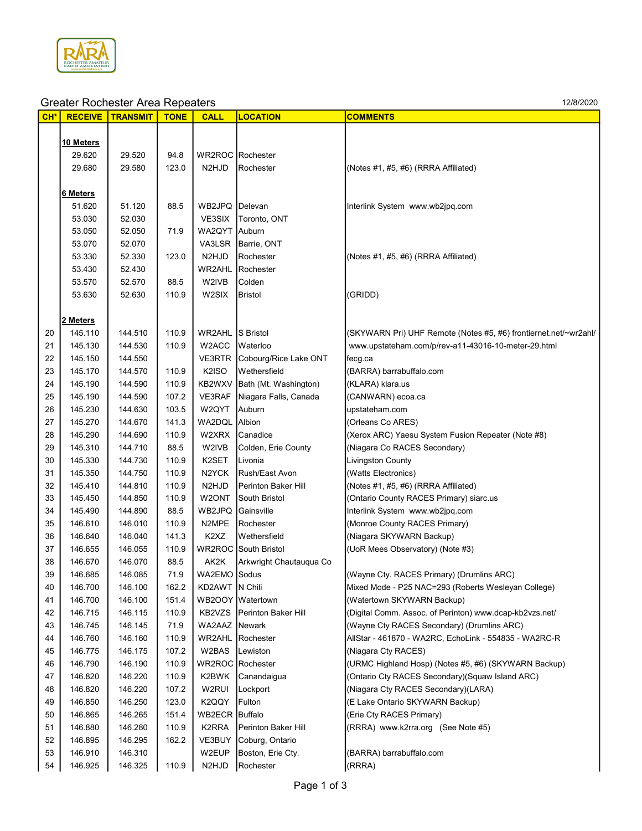

|       |                  | orcator riboricator / irea ricpeators |             |                               |                              |                                                                  |
|-------|------------------|---------------------------------------|-------------|-------------------------------|------------------------------|------------------------------------------------------------------|
| $CH*$ | <b>RECEIVE</b>   | <b>TRANSMIT</b>                       | <b>TONE</b> | <b>CALL</b>                   | <b>LOCATION</b>              | <b>COMMENTS</b>                                                  |
|       |                  |                                       |             |                               |                              |                                                                  |
|       | <u>10 Meters</u> |                                       |             |                               |                              |                                                                  |
|       | 29.620           | 29.520                                | 94.8        |                               | WR2ROC Rochester             |                                                                  |
|       | 29.680           | 29.580                                | 123.0       | N2HJD                         | Rochester                    | (Notes #1, #5, #6) (RRRA Affiliated)                             |
|       |                  |                                       |             |                               |                              |                                                                  |
|       | 6 Meters         |                                       |             |                               |                              |                                                                  |
|       | 51.620           | 51.120                                | 88.5        | WB2JPQ Delevan                |                              | Interlink System www.wb2jpq.com                                  |
|       | 53.030           | 52.030                                |             | VE3SIX                        | Toronto, ONT                 |                                                                  |
|       | 53.050           | 52.050                                | 71.9        | WA2QYT Auburn                 |                              |                                                                  |
|       | 53.070           | 52.070                                |             | VA3LSR                        | Barrie, ONT                  |                                                                  |
|       | 53.330           | 52.330                                | 123.0       | N <sub>2</sub> HJD            | Rochester                    | (Notes #1, #5, #6) (RRRA Affiliated)                             |
|       | 53.430           | 52.430                                |             | WR2AHL                        | Rochester                    |                                                                  |
|       | 53.570           | 52.570                                | 88.5        | W2IVB                         | Colden                       |                                                                  |
|       | 53.630           | 52.630                                | 110.9       | W2SIX                         | Bristol                      | (GRIDD)                                                          |
|       |                  |                                       |             |                               |                              |                                                                  |
|       | 2 Meters         |                                       |             |                               |                              |                                                                  |
| 20    | 145.110          | 144.510                               | 110.9       | WR2AHL                        | S Bristol                    | (SKYWARN Pri) UHF Remote (Notes #5, #6) frontiernet.net/~wr2ahl/ |
| 21    | 145.130          | 144.530                               | 110.9       | W2ACC                         | Waterloo                     | www.upstateham.com/p/rev-a11-43016-10-meter-29.html              |
| 22    | 145.150          | 144.550                               |             | VE3RTR                        | Cobourg/Rice Lake ONT        | fecg.ca                                                          |
| 23    | 145.170          | 144.570                               | 110.9       | K <sub>2</sub> ISO            | Wethersfield                 | (BARRA) barrabuffalo.com                                         |
| 24    | 145.190          | 144.590                               | 110.9       | KB2WXV                        | Bath (Mt. Washington)        | (KLARA) klara.us                                                 |
| 25    | 145.190          | 144.590                               | 107.2       | VE3RAF                        | Niagara Falls, Canada        | (CANWARN) ecoa.ca                                                |
| 26    | 145.230          | 144.630                               | 103.5       | W2QYT                         | Auburn                       | upstateham.com                                                   |
| 27    | 145.270          | 144.670                               | 141.3       | WA2DQL                        | Albion                       | (Orleans Co ARES)                                                |
| 28    | 145.290          | 144.690                               | 110.9       | W2XRX                         | Canadice                     | (Xerox ARC) Yaesu System Fusion Repeater (Note #8)               |
| 29    | 145.310          | 144.710                               | 88.5        | W2IVB                         | Colden, Erie County          | (Niagara Co RACES Secondary)                                     |
| 30    | 145.330          | 144.730                               | 110.9       | K2SET                         | Livonia                      | <b>Livingston County</b>                                         |
| 31    | 145.350          | 144.750                               | 110.9       | N2YCK                         | Rush/East Avon               | (Watts Electronics)                                              |
| 32    | 145.410          | 144.810                               | 110.9       | N2HJD                         | Perinton Baker Hill          | (Notes #1, #5, #6) (RRRA Affiliated)                             |
| 33    | 145.450          | 144.850                               | 110.9       | W2ONT                         | South Bristol                | (Ontario County RACES Primary) siarc.us                          |
| 34    | 145.490          | 144.890                               | 88.5        | WB2JPQ                        | Gainsville                   | Interlink System www.wb2jpq.com                                  |
| 35    | 146.610          | 146.010                               | 110.9       | N2MPE                         | Rochester                    | (Monroe County RACES Primary)                                    |
| 36    | 146.640          | 146.040                               | 141.3       | K <sub>2</sub> X <sub>Z</sub> | Wethersfield                 | (Niagara SKYWARN Backup)                                         |
| 37    | 146.655          | 146.055                               | 110.9       |                               | <b>WR2ROC</b> South Bristol  | (UoR Mees Observatory) (Note #3)                                 |
| 38    | 146.670          | 146.070                               | 88.5        | AK2K                          | Arkwright Chautauqua Co      |                                                                  |
| 39    | 146.685          | 146.085                               | 71.9        | WA2EMO Sodus                  |                              | (Wayne Cty. RACES Primary) (Drumlins ARC)                        |
| 40    | 146.700          | 146.100                               | 162.2       | KD2AWT  N Chili               |                              | Mixed Mode - P25 NAC=293 (Roberts Wesleyan College)              |
| 41    | 146.700          | 146.100                               | 151.4       |                               | WB2OOY Watertown             | (Watertown SKYWARN Backup)                                       |
| 42    | 146.715          | 146.115                               | 110.9       |                               | KB2VZS   Perinton Baker Hill | (Digital Comm. Assoc. of Perinton) www.dcap-kb2vzs.net/          |
| 43    | 146.745          | 146.145                               | 71.9        | WA2AAZ Newark                 |                              | (Wayne Cty RACES Secondary) (Drumlins ARC)                       |
| 44    | 146.760          | 146.160                               | 110.9       |                               | <b>WR2AHL Rochester</b>      | AllStar - 461870 - WA2RC, EchoLink - 554835 - WA2RC-R            |
| 45    | 146.775          | 146.175                               | 107.2       | W2BAS                         | Lewiston                     | (Niagara Cty RACES)                                              |
| 46    | 146.790          | 146.190                               | 110.9       |                               | <b>WR2ROC</b> Rochester      | (URMC Highland Hosp) (Notes #5, #6) (SKYWARN Backup)             |
| 47    | 146.820          | 146.220                               | 110.9       | K2BWK                         | Canandaigua                  | (Ontario Cty RACES Secondary)(Squaw Island ARC)                  |
| 48    | 146.820          | 146.220                               | 107.2       | W2RUI                         | Lockport                     | (Niagara Cty RACES Secondary)(LARA)                              |
| 49    | 146.850          | 146.250                               | 123.0       | K2QQY                         | Fulton                       | (E Lake Ontario SKYWARN Backup)                                  |
| 50    | 146.865          | 146.265                               | 151.4       | WB2ECR Buffalo                |                              | (Erie Cty RACES Primary)                                         |
| 51    | 146.880          | 146.280                               | 110.9       | K2RRA                         | Perinton Baker Hill          | (RRRA) www.k2rra.org (See Note #5)                               |
| 52    | 146.895          | 146.295                               | 162.2       | VE3BUY                        | Coburg, Ontario              |                                                                  |
|       |                  |                                       |             |                               |                              |                                                                  |
| 53    | 146.910          | 146.310                               |             | W2EUP                         | Boston, Erie Cty.            | (BARRA) barrabuffalo.com                                         |
| 54    | 146.925          | 146.325                               | 110.9       | N2HJD                         | Rochester                    | (RRRA)                                                           |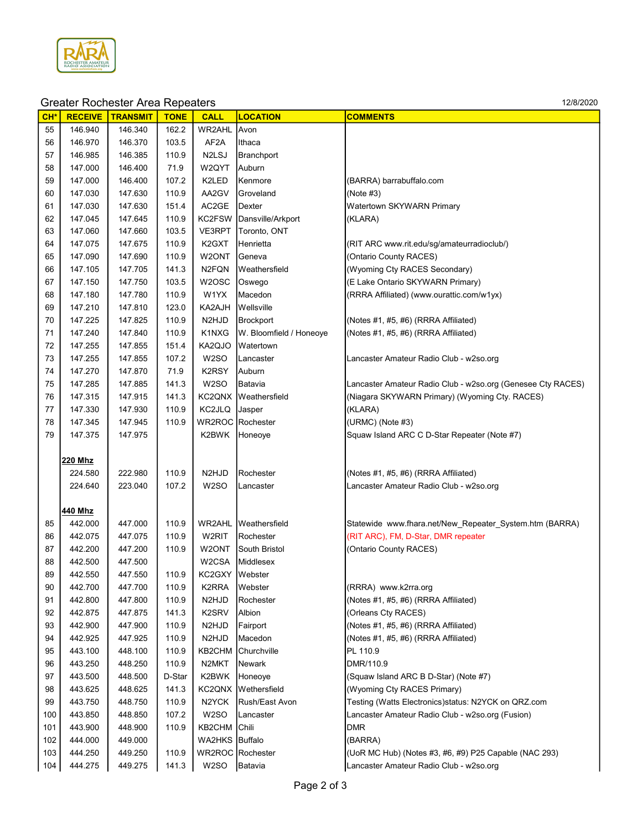

| CH <sup>*</sup> | <b>RECEIVE</b> | <b>TRANSMIT</b> | <b>TONE</b> | <b>CALL</b>                    | <b>LOCATION</b>         | <b>COMMENTS</b>                                             |
|-----------------|----------------|-----------------|-------------|--------------------------------|-------------------------|-------------------------------------------------------------|
| 55              | 146.940        | 146.340         | 162.2       | WR2AHL                         | Avon                    |                                                             |
| 56              | 146.970        | 146.370         | 103.5       | AF <sub>2</sub> A              | Ithaca                  |                                                             |
| 57              | 146.985        | 146.385         | 110.9       | N <sub>2</sub> L <sub>SJ</sub> | Branchport              |                                                             |
| 58              | 147.000        | 146.400         | 71.9        | W2QYT                          | Auburn                  |                                                             |
| 59              | 147.000        | 146.400         | 107.2       | K2LED                          | Kenmore                 | (BARRA) barrabuffalo.com                                    |
| 60              | 147.030        | 147.630         | 110.9       | AA2GV                          | Groveland               | (Note#3)                                                    |
| 61              | 147.030        | 147.630         | 151.4       | AC2GE                          | Dexter                  | Watertown SKYWARN Primary                                   |
| 62              | 147.045        | 147.645         | 110.9       | KC2FSW                         | Dansville/Arkport       | (KLARA)                                                     |
| 63              | 147.060        | 147.660         | 103.5       | VE3RPT                         | Toronto, ONT            |                                                             |
| 64              | 147.075        | 147.675         | 110.9       | K <sub>2</sub> GXT             | Henrietta               | (RIT ARC www.rit.edu/sq/amateurradioclub/)                  |
| 65              | 147.090        | 147.690         | 110.9       | W2ONT                          | Geneva                  | (Ontario County RACES)                                      |
| 66              | 147.105        | 147.705         | 141.3       | N <sub>2</sub> FQN             | Weathersfield           | (Wyoming Cty RACES Secondary)                               |
| 67              | 147.150        | 147.750         | 103.5       | W <sub>2</sub> OSC             | Oswego                  | (E Lake Ontario SKYWARN Primary)                            |
| 68              | 147.180        | 147.780         | 110.9       | W1YX                           | Macedon                 | (RRRA Affiliated) (www.ourattic.com/w1yx)                   |
| 69              | 147.210        | 147.810         | 123.0       | KA2AJH                         | Wellsville              |                                                             |
| 70              | 147.225        | 147.825         | 110.9       | N <sub>2</sub> HJ <sub>D</sub> | <b>Brockport</b>        | (Notes #1, #5, #6) (RRRA Affiliated)                        |
| 71              | 147.240        | 147.840         | 110.9       | K1NXG                          | W. Bloomfield / Honeoye | (Notes #1, #5, #6) (RRRA Affiliated)                        |
| 72              | 147.255        | 147.855         | 151.4       | KA2QJO                         | Watertown               |                                                             |
| 73              | 147.255        | 147.855         | 107.2       | W <sub>2</sub> SO              | Lancaster               | Lancaster Amateur Radio Club - w2so.org                     |
| 74              | 147.270        | 147.870         | 71.9        | K2RSY                          | Auburn                  |                                                             |
| 75              | 147.285        | 147.885         | 141.3       | W <sub>2</sub> SO              | Batavia                 | Lancaster Amateur Radio Club - w2so.org (Genesee Cty RACES) |
| 76              | 147.315        | 147.915         | 141.3       | KC2QNX                         | Weathersfield           | (Niagara SKYWARN Primary) (Wyoming Cty. RACES)              |
| 77              | 147.330        | 147.930         | 110.9       | KC2JLQ                         | Jasper                  | (KLARA)                                                     |
| 78              | 147.345        | 147.945         | 110.9       |                                | WR2ROC Rochester        | (URMC) (Note #3)                                            |
| 79              | 147.375        | 147.975         |             | K2BWK                          | Honeoye                 | Squaw Island ARC C D-Star Repeater (Note #7)                |
|                 |                |                 |             |                                |                         |                                                             |
|                 | 220 Mhz        |                 |             |                                |                         |                                                             |
|                 | 224.580        | 222.980         | 110.9       | N <sub>2</sub> HJ <sub>D</sub> | Rochester               | (Notes #1, #5, #6) (RRRA Affiliated)                        |
|                 | 224.640        | 223.040         | 107.2       | W <sub>2</sub> SO              | Lancaster               | Lancaster Amateur Radio Club - w2so.org                     |
|                 |                |                 |             |                                |                         |                                                             |
|                 | 440 Mhz        |                 |             |                                |                         |                                                             |
| 85              | 442.000        | 447.000         | 110.9       |                                | WR2AHL Weathersfield    | Statewide www.fhara.net/New_Repeater_System.htm (BARRA)     |
| 86              | 442.075        | 447.075         | 110.9       | W2RIT                          | Rochester               | (RIT ARC), FM, D-Star, DMR repeater                         |
| 87              | 442.200        | 447.200         | 110.9       | W2ONT                          | South Bristol           | (Ontario County RACES)                                      |
| 88              | 442.500        | 447.500         |             | W2CSA                          | Middlesex               |                                                             |
| 89              | 442.550        | 447.550         | 110.9       | KC2GXY Webster                 |                         |                                                             |
| 90              | 442.700        | 447.700         | 110.9       | K2RRA                          | Webster                 | (RRRA) www.k2rra.org                                        |
| 91              | 442.800        | 447.800         | 110.9       | N <sub>2</sub> HJ <sub>D</sub> | Rochester               | (Notes #1, #5, #6) (RRRA Affiliated)                        |
| 92              | 442.875        | 447.875         | 141.3       | K <sub>2</sub> SR <sub>V</sub> | Albion                  | (Orleans Cty RACES)                                         |
| 93              | 442.900        | 447.900         | 110.9       | N <sub>2</sub> HJD             | Fairport                | (Notes #1, #5, #6) (RRRA Affiliated)                        |
| 94              | 442.925        | 447.925         | 110.9       | N <sub>2</sub> HJD             | Macedon                 | (Notes #1, #5, #6) (RRRA Affiliated)                        |
| 95              | 443.100        | 448.100         | 110.9       | KB2CHM                         | Churchville             | PL 110.9                                                    |
| 96              | 443.250        | 448.250         | 110.9       | N2MKT                          | Newark                  | DMR/110.9                                                   |
| 97              | 443.500        | 448.500         | D-Star      | K2BWK                          | Honeoye                 | (Squaw Island ARC B D-Star) (Note #7)                       |
| 98              | 443.625        | 448.625         | 141.3       | KC2QNX                         | Wethersfield            | (Wyoming Cty RACES Primary)                                 |
| 99              | 443.750        | 448.750         | 110.9       | N <sub>2</sub> YCK             | Rush/East Avon          | Testing (Watts Electronics) status: N2YCK on QRZ.com        |
| 100             | 443.850        | 448.850         | 107.2       | W <sub>2</sub> SO              | Lancaster               | Lancaster Amateur Radio Club - w2so.org (Fusion)            |
| 101             | 443.900        | 448.900         | 110.9       | KB2CHM                         | Chili                   | <b>DMR</b>                                                  |
| 102             | 444.000        | 449.000         |             | WA2HKS                         | Buffalo                 | (BARRA)                                                     |
| 103             | 444.250        | 449.250         | 110.9       |                                | WR2ROC Rochester        | (UoR MC Hub) (Notes #3, #6, #9) P25 Capable (NAC 293)       |
| 104             | 444.275        | 449.275         | 141.3       | W2SO                           | Batavia                 | Lancaster Amateur Radio Club - w2so.org                     |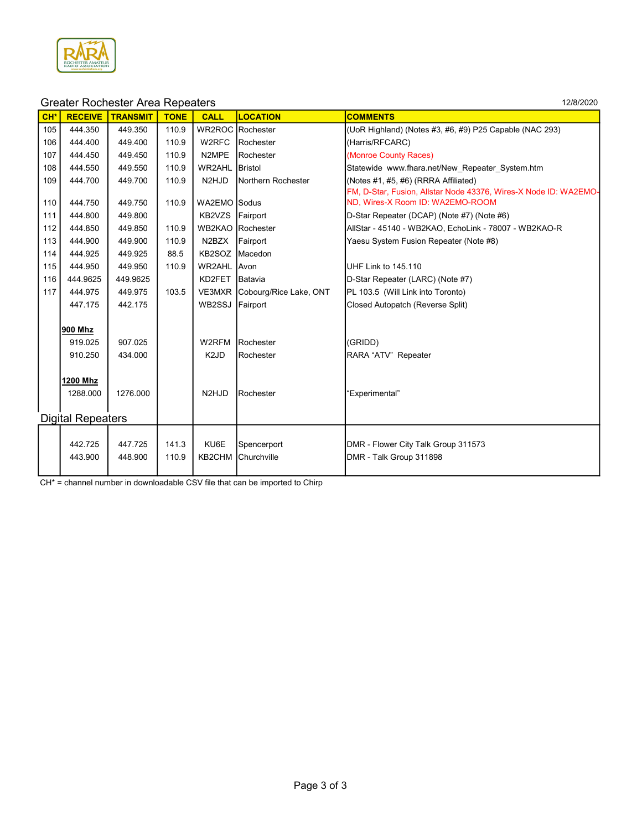

| CH* | <b>RECEIVE</b>           | <b>TRANSMIT</b> | <b>TONE</b> | <b>CALL</b>                    | <b>LOCATION</b>               | <b>COMMENTS</b>                                                  |
|-----|--------------------------|-----------------|-------------|--------------------------------|-------------------------------|------------------------------------------------------------------|
| 105 | 444.350                  | 449.350         | 110.9       |                                | WR2ROC Rochester              | (UoR Highland) (Notes #3, #6, #9) P25 Capable (NAC 293)          |
| 106 | 444.400                  | 449.400         | 110.9       | W2RFC                          | Rochester                     | (Harris/RFCARC)                                                  |
| 107 | 444.450                  | 449.450         | 110.9       | N2MPE                          | Rochester                     | (Monroe County Races)                                            |
| 108 | 444.550                  | 449.550         | 110.9       | WR2AHL                         | Bristol                       | Statewide www.fhara.net/New Repeater System.htm                  |
| 109 | 444.700                  | 449.700         | 110.9       | N <sub>2</sub> HJ <sub>D</sub> | Northern Rochester            | (Notes #1, #5, #6) (RRRA Affiliated)                             |
|     |                          |                 |             |                                |                               | FM, D-Star, Fusion, Allstar Node 43376, Wires-X Node ID: WA2EMO- |
| 110 | 444.750                  | 449.750         | 110.9       | WA2EMO Sodus                   |                               | ND, Wires-X Room ID: WA2EMO-ROOM                                 |
| 111 | 444.800                  | 449.800         |             | KB2VZS Fairport                |                               | D-Star Repeater (DCAP) (Note #7) (Note #6)                       |
| 112 | 444.850                  | 449.850         | 110.9       |                                | <b>WB2KAO</b> Rochester       | AllStar - 45140 - WB2KAO, EchoLink - 78007 - WB2KAO-R            |
| 113 | 444.900                  | 449.900         | 110.9       | N2BZX                          | Fairport                      | Yaesu System Fusion Repeater (Note #8)                           |
| 114 | 444.925                  | 449.925         | 88.5        | KB2SOZ Macedon                 |                               |                                                                  |
| 115 | 444.950                  | 449.950         | 110.9       | WR2AHL Avon                    |                               | UHF Link to 145.110                                              |
| 116 | 444.9625                 | 449.9625        |             | KD2FET                         | Batavia                       | D-Star Repeater (LARC) (Note #7)                                 |
| 117 | 444.975                  | 449.975         | 103.5       |                                | VE3MXR Cobourg/Rice Lake, ONT | PL 103.5 (Will Link into Toronto)                                |
|     | 447.175                  | 442.175         |             | WB2SSJ Fairport                |                               | Closed Autopatch (Reverse Split)                                 |
|     |                          |                 |             |                                |                               |                                                                  |
|     | 900 Mhz                  |                 |             |                                |                               |                                                                  |
|     | 919.025                  | 907.025         |             | W2RFM                          | Rochester                     | (GRIDD)                                                          |
|     | 910.250                  | 434.000         |             | K <sub>2</sub> J <sub>D</sub>  | Rochester                     | RARA "ATV" Repeater                                              |
|     |                          |                 |             |                                |                               |                                                                  |
|     | 1200 Mhz                 |                 |             |                                |                               |                                                                  |
|     | 1288.000                 | 1276.000        |             | N <sub>2</sub> HJ <sub>D</sub> | Rochester                     | "Experimental"                                                   |
|     |                          |                 |             |                                |                               |                                                                  |
|     | <b>Digital Repeaters</b> |                 |             |                                |                               |                                                                  |
|     |                          |                 |             |                                |                               |                                                                  |
|     | 442.725                  | 447.725         | 141.3       | KU6E                           | Spencerport                   | DMR - Flower City Talk Group 311573                              |
|     | 443.900                  | 448.900         | 110.9       | KB2CHM                         | Churchville                   | DMR - Talk Group 311898                                          |
|     |                          |                 |             |                                |                               |                                                                  |

CH\* = channel number in downloadable CSV file that can be imported to Chirp